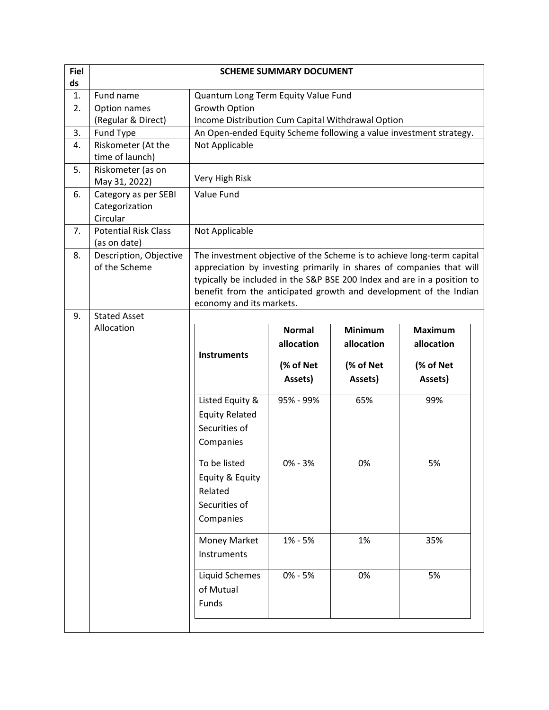| <b>Fiel</b><br>ds | <b>SCHEME SUMMARY DOCUMENT</b>                     |                                                                          |                                          |                                           |                                                                                                                                                                                                                                                                                                |
|-------------------|----------------------------------------------------|--------------------------------------------------------------------------|------------------------------------------|-------------------------------------------|------------------------------------------------------------------------------------------------------------------------------------------------------------------------------------------------------------------------------------------------------------------------------------------------|
| 1.                | Fund name                                          | Quantum Long Term Equity Value Fund                                      |                                          |                                           |                                                                                                                                                                                                                                                                                                |
| 2.                | Option names                                       | Growth Option                                                            |                                          |                                           |                                                                                                                                                                                                                                                                                                |
|                   | (Regular & Direct)                                 | Income Distribution Cum Capital Withdrawal Option                        |                                          |                                           |                                                                                                                                                                                                                                                                                                |
| 3.                | Fund Type                                          |                                                                          |                                          |                                           | An Open-ended Equity Scheme following a value investment strategy.                                                                                                                                                                                                                             |
| 4.                | Riskometer (At the                                 | Not Applicable                                                           |                                          |                                           |                                                                                                                                                                                                                                                                                                |
|                   | time of launch)                                    |                                                                          |                                          |                                           |                                                                                                                                                                                                                                                                                                |
| 5.                | Riskometer (as on<br>May 31, 2022)                 | Very High Risk                                                           |                                          |                                           |                                                                                                                                                                                                                                                                                                |
| 6.                | Category as per SEBI<br>Categorization<br>Circular | Value Fund                                                               |                                          |                                           |                                                                                                                                                                                                                                                                                                |
| 7.                | <b>Potential Risk Class</b><br>(as on date)        | Not Applicable                                                           |                                          |                                           |                                                                                                                                                                                                                                                                                                |
| 8.                | Description, Objective<br>of the Scheme            | economy and its markets.                                                 |                                          |                                           | The investment objective of the Scheme is to achieve long-term capital<br>appreciation by investing primarily in shares of companies that will<br>typically be included in the S&P BSE 200 Index and are in a position to<br>benefit from the anticipated growth and development of the Indian |
| 9.                | <b>Stated Asset</b>                                |                                                                          |                                          |                                           |                                                                                                                                                                                                                                                                                                |
|                   | Allocation                                         | <b>Instruments</b>                                                       | <b>Normal</b><br>allocation<br>(% of Net | <b>Minimum</b><br>allocation<br>(% of Net | <b>Maximum</b><br>allocation<br>(% of Net                                                                                                                                                                                                                                                      |
|                   |                                                    |                                                                          | Assets)                                  | Assets)                                   | Assets)                                                                                                                                                                                                                                                                                        |
|                   |                                                    | Listed Equity &<br><b>Equity Related</b><br>Securities of<br>Companies   | 95% - 99%                                | 65%                                       | 99%                                                                                                                                                                                                                                                                                            |
|                   |                                                    | To be listed<br>Equity & Equity<br>Related<br>Securities of<br>Companies | $0\% - 3\%$                              | 0%                                        | 5%                                                                                                                                                                                                                                                                                             |
|                   |                                                    | Money Market<br>Instruments                                              | $1\% - 5\%$                              | 1%                                        | 35%                                                                                                                                                                                                                                                                                            |
|                   |                                                    | Liquid Schemes<br>of Mutual<br>Funds                                     | $0\% - 5\%$                              | 0%                                        | 5%                                                                                                                                                                                                                                                                                             |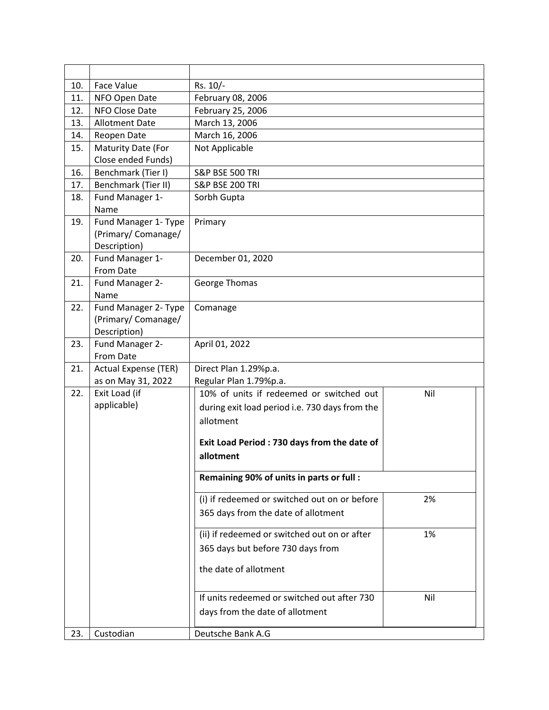| 10. | <b>Face Value</b>                                          | Rs. 10/-                                                                            |     |  |
|-----|------------------------------------------------------------|-------------------------------------------------------------------------------------|-----|--|
| 11. | NFO Open Date                                              | February 08, 2006                                                                   |     |  |
| 12. | <b>NFO Close Date</b>                                      | February 25, 2006                                                                   |     |  |
| 13. | <b>Allotment Date</b>                                      | March 13, 2006                                                                      |     |  |
| 14. | Reopen Date                                                | March 16, 2006                                                                      |     |  |
| 15. | Maturity Date (For                                         | Not Applicable                                                                      |     |  |
|     | Close ended Funds)                                         |                                                                                     |     |  |
| 16. | Benchmark (Tier I)                                         | <b>S&amp;P BSE 500 TRI</b>                                                          |     |  |
| 17. | Benchmark (Tier II)                                        | <b>S&amp;P BSE 200 TRI</b>                                                          |     |  |
| 18. | Fund Manager 1-<br>Name                                    | Sorbh Gupta                                                                         |     |  |
| 19. | Fund Manager 1- Type<br>(Primary/Comanage/<br>Description) | Primary                                                                             |     |  |
| 20. | Fund Manager 1-<br>From Date                               | December 01, 2020                                                                   |     |  |
| 21. | Fund Manager 2-<br>Name                                    | George Thomas                                                                       |     |  |
| 22. | Fund Manager 2- Type<br>(Primary/Comanage/<br>Description) | Comanage                                                                            |     |  |
| 23. | Fund Manager 2-<br>From Date                               | April 01, 2022                                                                      |     |  |
| 21. | <b>Actual Expense (TER)</b>                                | Direct Plan 1.29%p.a.                                                               |     |  |
|     | as on May 31, 2022                                         | Regular Plan 1.79%p.a.                                                              |     |  |
| 22. | Exit Load (if                                              | 10% of units if redeemed or switched out                                            | Nil |  |
|     | applicable)                                                | during exit load period i.e. 730 days from the                                      |     |  |
|     |                                                            | allotment                                                                           |     |  |
|     |                                                            |                                                                                     |     |  |
|     |                                                            | Exit Load Period: 730 days from the date of                                         |     |  |
|     |                                                            | allotment                                                                           |     |  |
|     |                                                            | Remaining 90% of units in parts or full :                                           |     |  |
|     |                                                            | (i) if redeemed or switched out on or before<br>365 days from the date of allotment | 2%  |  |
|     |                                                            | (ii) if redeemed or switched out on or after                                        | 1%  |  |
|     |                                                            | 365 days but before 730 days from                                                   |     |  |
|     |                                                            |                                                                                     |     |  |
|     |                                                            | the date of allotment                                                               |     |  |
|     |                                                            | If units redeemed or switched out after 730                                         | Nil |  |
|     |                                                            | days from the date of allotment                                                     |     |  |
| 23. | Custodian                                                  | Deutsche Bank A.G                                                                   |     |  |
|     |                                                            |                                                                                     |     |  |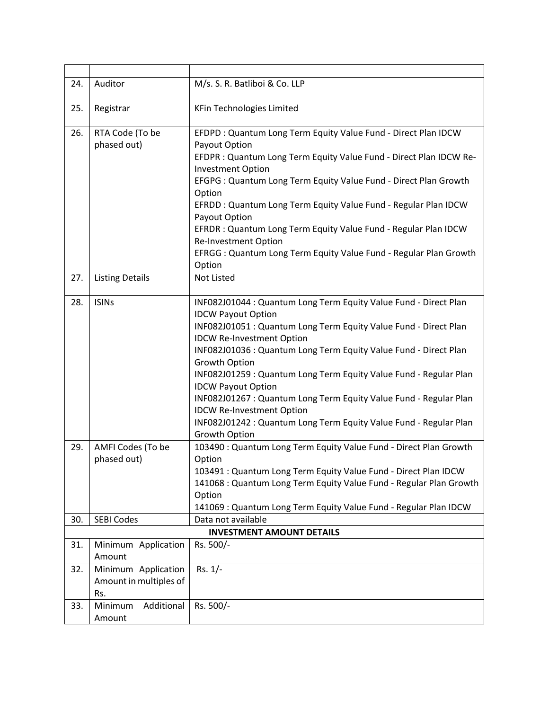| 24. | Auditor                                              | M/s. S. R. Batliboi & Co. LLP                                                                                                                                                                                                                                                                                                                                                                                                                                                                                                                                                               |
|-----|------------------------------------------------------|---------------------------------------------------------------------------------------------------------------------------------------------------------------------------------------------------------------------------------------------------------------------------------------------------------------------------------------------------------------------------------------------------------------------------------------------------------------------------------------------------------------------------------------------------------------------------------------------|
| 25. | Registrar                                            | <b>KFin Technologies Limited</b>                                                                                                                                                                                                                                                                                                                                                                                                                                                                                                                                                            |
| 26. | RTA Code (To be<br>phased out)                       | EFDPD: Quantum Long Term Equity Value Fund - Direct Plan IDCW<br>Payout Option<br>EFDPR : Quantum Long Term Equity Value Fund - Direct Plan IDCW Re-<br><b>Investment Option</b><br>EFGPG : Quantum Long Term Equity Value Fund - Direct Plan Growth<br>Option<br>EFRDD: Quantum Long Term Equity Value Fund - Regular Plan IDCW<br>Payout Option<br>EFRDR: Quantum Long Term Equity Value Fund - Regular Plan IDCW<br><b>Re-Investment Option</b><br>EFRGG: Quantum Long Term Equity Value Fund - Regular Plan Growth<br>Option                                                            |
| 27. | <b>Listing Details</b>                               | Not Listed                                                                                                                                                                                                                                                                                                                                                                                                                                                                                                                                                                                  |
| 28. | <b>ISINs</b>                                         | INF082J01044 : Quantum Long Term Equity Value Fund - Direct Plan<br><b>IDCW Payout Option</b><br>INF082J01051 : Quantum Long Term Equity Value Fund - Direct Plan<br><b>IDCW Re-Investment Option</b><br>INF082J01036 : Quantum Long Term Equity Value Fund - Direct Plan<br>Growth Option<br>INF082J01259 : Quantum Long Term Equity Value Fund - Regular Plan<br><b>IDCW Payout Option</b><br>INF082J01267 : Quantum Long Term Equity Value Fund - Regular Plan<br><b>IDCW Re-Investment Option</b><br>INF082J01242 : Quantum Long Term Equity Value Fund - Regular Plan<br>Growth Option |
| 29. | AMFI Codes (To be<br>phased out)                     | 103490 : Quantum Long Term Equity Value Fund - Direct Plan Growth<br>Option<br>103491 : Quantum Long Term Equity Value Fund - Direct Plan IDCW<br>141068 : Quantum Long Term Equity Value Fund - Regular Plan Growth<br>Option<br>141069: Quantum Long Term Equity Value Fund - Regular Plan IDCW                                                                                                                                                                                                                                                                                           |
| 30. | <b>SEBI Codes</b>                                    | Data not available                                                                                                                                                                                                                                                                                                                                                                                                                                                                                                                                                                          |
|     |                                                      | <b>INVESTMENT AMOUNT DETAILS</b>                                                                                                                                                                                                                                                                                                                                                                                                                                                                                                                                                            |
| 31. | Minimum Application<br>Amount                        | Rs. 500/-                                                                                                                                                                                                                                                                                                                                                                                                                                                                                                                                                                                   |
| 32. | Minimum Application<br>Amount in multiples of<br>Rs. | $Rs. 1/-$                                                                                                                                                                                                                                                                                                                                                                                                                                                                                                                                                                                   |
| 33. | Minimum<br>Additional<br>Amount                      | Rs. 500/-                                                                                                                                                                                                                                                                                                                                                                                                                                                                                                                                                                                   |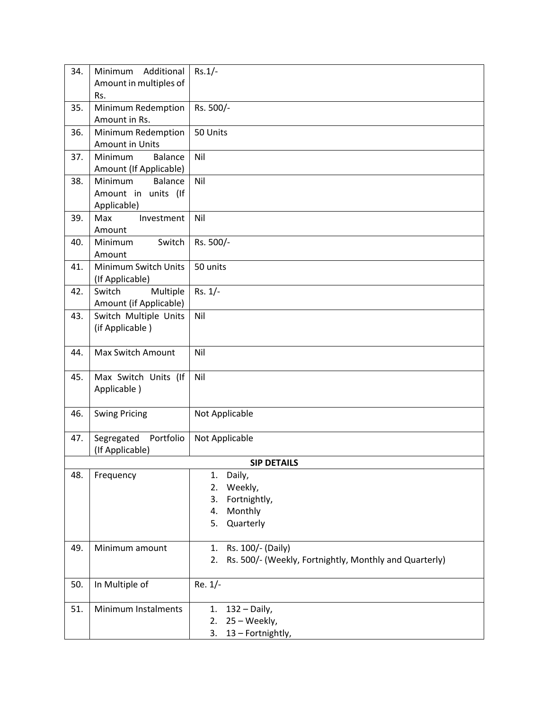| 34. | Minimum<br>Additional            | $Rs.1/-$                                                     |
|-----|----------------------------------|--------------------------------------------------------------|
|     | Amount in multiples of           |                                                              |
|     | Rs.                              |                                                              |
| 35. | Minimum Redemption               | Rs. 500/-                                                    |
|     | Amount in Rs.                    |                                                              |
| 36. | Minimum Redemption               | 50 Units                                                     |
|     | <b>Amount in Units</b>           |                                                              |
| 37. | <b>Balance</b><br><b>Minimum</b> | Nil                                                          |
|     | Amount (If Applicable)           |                                                              |
| 38. | Minimum<br>Balance               | Nil                                                          |
|     | Amount in units (If              |                                                              |
|     | Applicable)                      |                                                              |
| 39. | Max<br>Investment                | Nil                                                          |
|     | Amount                           |                                                              |
| 40. | Switch<br>Minimum                | Rs. 500/-                                                    |
|     | Amount                           |                                                              |
| 41. | Minimum Switch Units             | 50 units                                                     |
|     | (If Applicable)                  |                                                              |
| 42. | Switch<br>Multiple               | $Rs. 1/-$                                                    |
|     | Amount (if Applicable)           |                                                              |
| 43. | Switch Multiple Units            | Nil                                                          |
|     | (if Applicable)                  |                                                              |
|     |                                  |                                                              |
| 44. | <b>Max Switch Amount</b>         | Nil                                                          |
|     |                                  |                                                              |
| 45. | Max Switch Units (If             | Nil                                                          |
|     | Applicable)                      |                                                              |
| 46. |                                  |                                                              |
|     | <b>Swing Pricing</b>             | Not Applicable                                               |
| 47. | Segregated<br>Portfolio          | Not Applicable                                               |
|     | (If Applicable)                  |                                                              |
|     |                                  | <b>SIP DETAILS</b>                                           |
| 48. | Frequency                        | Daily,<br>1.                                                 |
|     |                                  | Weekly,<br>2.                                                |
|     |                                  | Fortnightly,<br>3.                                           |
|     |                                  | Monthly<br>4.                                                |
|     |                                  | Quarterly<br>5.                                              |
|     |                                  |                                                              |
| 49. | Minimum amount                   | Rs. 100/- (Daily)<br>1.                                      |
|     |                                  | Rs. 500/- (Weekly, Fortnightly, Monthly and Quarterly)<br>2. |
|     |                                  |                                                              |
| 50. | In Multiple of                   | Re. 1/-                                                      |
|     |                                  |                                                              |
| 51. | Minimum Instalments              | $132 - Daily$ ,<br>1.                                        |
|     |                                  | 25 - Weekly,<br>2.                                           |
|     |                                  | 3.<br>13 - Fortnightly,                                      |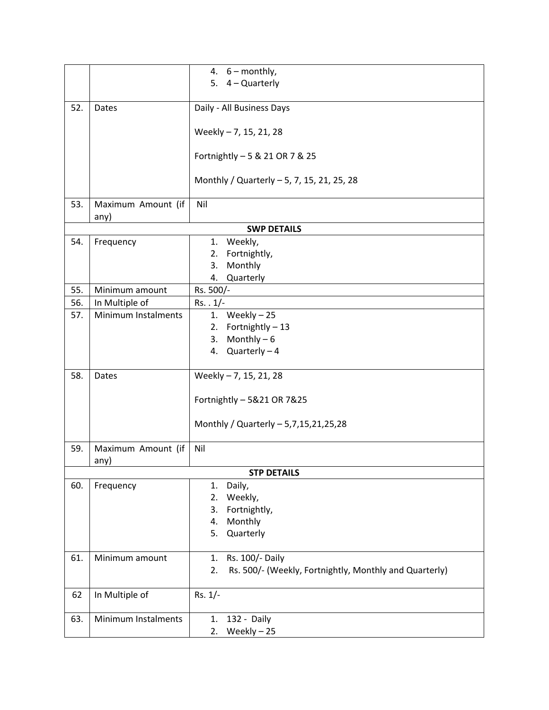|     |                     | 4. $6 - monthly$ ,                                           |
|-----|---------------------|--------------------------------------------------------------|
|     |                     | 5. 4 - Quarterly                                             |
|     |                     |                                                              |
| 52. | Dates               | Daily - All Business Days                                    |
|     |                     | Weekly - 7, 15, 21, 28                                       |
|     |                     | Fortnightly - 5 & 21 OR 7 & 25                               |
|     |                     | Monthly / Quarterly - 5, 7, 15, 21, 25, 28                   |
| 53. | Maximum Amount (if  | Nil                                                          |
|     | any)                |                                                              |
|     |                     | <b>SWP DETAILS</b>                                           |
| 54. | Frequency           | Weekly,<br>1.                                                |
|     |                     | Fortnightly,<br>2.                                           |
|     |                     | Monthly<br>3.                                                |
|     |                     | Quarterly<br>4.                                              |
| 55. | Minimum amount      | Rs. 500/-                                                    |
| 56. | In Multiple of      | $Rs. . 1/-$                                                  |
| 57. | Minimum Instalments | Weekly-25<br>1.                                              |
|     |                     | 2. Fortnightly - 13                                          |
|     |                     | 3. Monthly $-6$                                              |
|     |                     | 4. Quarterly $-4$                                            |
|     |                     |                                                              |
| 58. | Dates               | Weekly - 7, 15, 21, 28                                       |
|     |                     |                                                              |
|     |                     | Fortnightly - 5&21 OR 7&25                                   |
|     |                     | Monthly / Quarterly - 5,7,15,21,25,28                        |
| 59. | Maximum Amount (if  | Nil                                                          |
|     | any)                |                                                              |
|     |                     | <b>STP DETAILS</b>                                           |
| 60. | Frequency           | Daily,<br>1.                                                 |
|     |                     | Weekly,<br>2.                                                |
|     |                     | Fortnightly,<br>3.                                           |
|     |                     | Monthly<br>4.                                                |
|     |                     | Quarterly<br>5.                                              |
|     |                     |                                                              |
| 61. | Minimum amount      | Rs. 100/- Daily<br>1.                                        |
|     |                     | Rs. 500/- (Weekly, Fortnightly, Monthly and Quarterly)<br>2. |
| 62  | In Multiple of      | $Rs. 1/-$                                                    |
|     |                     |                                                              |
| 63. | Minimum Instalments | 132 - Daily<br>1.                                            |
|     |                     | Weekly-25<br>2.                                              |